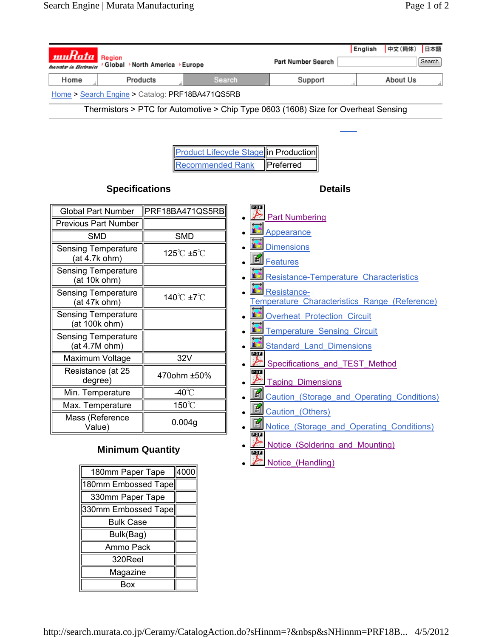$\bullet$  Notice (Handling)

| $\boldsymbol{\mathit{muRata}}$ Region           |                                |                                              |                                                                                    | ┃English ┃中文(简体)┃日本語 |        |
|-------------------------------------------------|--------------------------------|----------------------------------------------|------------------------------------------------------------------------------------|----------------------|--------|
| Innovator in Electronics                        | >Global >North America >Europe |                                              | Part Number Search                                                                 |                      | Search |
| Home                                            | Products                       | Search                                       | Support                                                                            | About Us             |        |
| Home > Search Engine > Catalog: PRF18BA471QS5RB |                                |                                              |                                                                                    |                      |        |
|                                                 |                                |                                              | Thermistors > PTC for Automotive > Chip Type 0603 (1608) Size for Overheat Sensing |                      |        |
|                                                 |                                |                                              |                                                                                    |                      |        |
|                                                 |                                |                                              |                                                                                    |                      |        |
|                                                 |                                | <b>Product Lifecycle Stage in Production</b> |                                                                                    |                      |        |
|                                                 |                                | <b>Recommended Rank</b>                      | Preferred                                                                          |                      |        |
|                                                 | <b>Specifications</b>          |                                              | <b>Details</b>                                                                     |                      |        |
| <b>Global Part Number</b>                       | PRF18BA471QS5RB                | PDF                                          |                                                                                    |                      |        |
| <b>Previous Part Number</b>                     |                                |                                              | Part Numbering                                                                     |                      |        |
| <b>SMD</b>                                      | <b>SMD</b>                     |                                              | Appearance                                                                         |                      |        |
| <b>Sensing Temperature</b><br>(at 4.7k ohm)     | 125°C ±5°C                     |                                              | Dimensions<br><u>图 Features</u>                                                    |                      |        |
| <b>Sensing Temperature</b><br>(at 10k ohm)      |                                |                                              | <b>13</b> Resistance-Temperature Characteristics                                   |                      |        |
| <b>Sensing Temperature</b><br>(at 47k ohm)      | 140°C ±7°C                     |                                              | Resistance-<br>Temperature Characteristics Range (Reference)                       |                      |        |
| <b>Sensing Temperature</b><br>(at 100k ohm)     |                                |                                              | <b>11 Overheat Protection Circuit</b>                                              |                      |        |
| <b>Sensing Temperature</b><br>(at 4.7M ohm)     |                                |                                              | Temperature Sensing Circuit<br><b>15</b> Standard Land Dimensions                  |                      |        |
| Maximum Voltage                                 | 32V                            | PDF                                          | Specifications and TEST Method                                                     |                      |        |
| Resistance (at 25<br>degree)                    | 470ohm ±50%                    | PDF                                          | <b>Taping Dimensions</b>                                                           |                      |        |
| Min. Temperature                                | -40 $^{\circ}$ C               |                                              | Caution (Storage and Operating Conditions)                                         |                      |        |
| Max. Temperature                                | 150°C                          |                                              | Caution (Others)                                                                   |                      |        |
| Mass (Reference<br>Value)                       | 0.004g                         |                                              | Notice (Storage and Operating Conditions)                                          |                      |        |
|                                                 | <b>Minimum Quantity</b>        | <b>PDF</b><br><b>PDF</b>                     | Notice (Soldering and Mounting)                                                    |                      |        |
|                                                 |                                |                                              | $\triangleright$ Notice (Handling)                                                 |                      |        |

Search

English 中文(简体) 日本語

## **Minimum Quantity**

| 180mm Paper Tape    | 4000 |
|---------------------|------|
| 180mm Embossed Tape |      |
| 330mm Paper Tape    |      |
| 330mm Embossed Tape |      |
| Bulk Case           |      |
| Bulk(Bag)           |      |
| Ammo Pack           |      |
| 320Reel             |      |
| Magazine            |      |
| Rox                 |      |